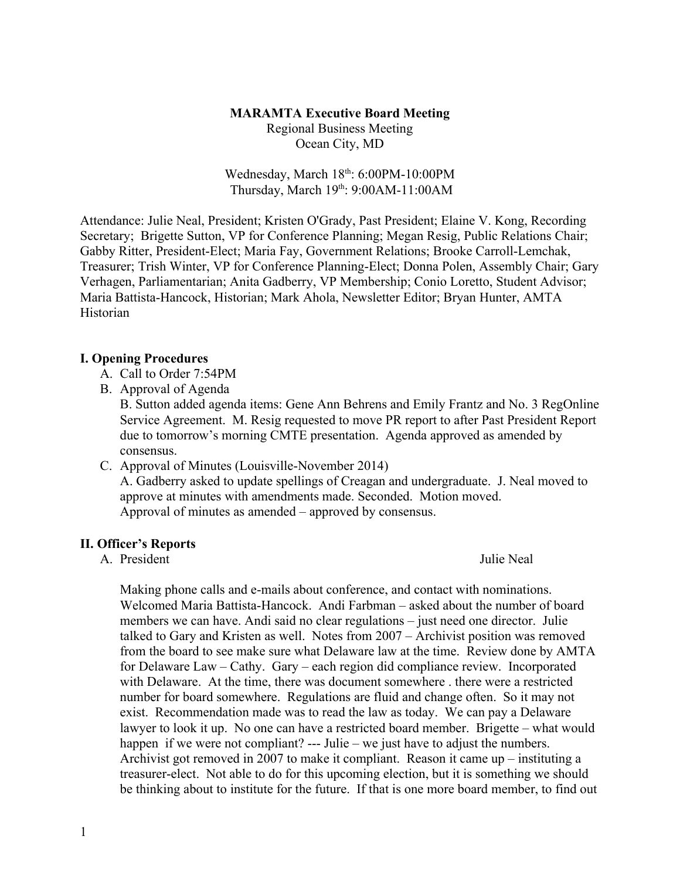# **MARAMTA Executive Board Meeting**

Regional Business Meeting Ocean City, MD

Wednesday, March 18<sup>th</sup>: 6:00PM-10:00PM Thursday, March 19th: 9:00AM-11:00AM

Attendance: Julie Neal, President; Kristen O'Grady, Past President; Elaine V. Kong, Recording Secretary; Brigette Sutton, VP for Conference Planning; Megan Resig, Public Relations Chair; Gabby Ritter, President-Elect; Maria Fay, Government Relations; Brooke Carroll-Lemchak, Treasurer; Trish Winter, VP for Conference Planning-Elect; Donna Polen, Assembly Chair; Gary Verhagen, Parliamentarian; Anita Gadberry, VP Membership; Conio Loretto, Student Advisor; Maria Battista-Hancock, Historian; Mark Ahola, Newsletter Editor; Bryan Hunter, AMTA Historian

## **I. Opening Procedures**

- A. Call to Order 7:54PM
- B. Approval of Agenda

B. Sutton added agenda items: Gene Ann Behrens and Emily Frantz and No. 3 RegOnline Service Agreement. M. Resig requested to move PR report to after Past President Report due to tomorrow's morning CMTE presentation. Agenda approved as amended by consensus.

C. Approval of Minutes (Louisville-November 2014)

A. Gadberry asked to update spellings of Creagan and undergraduate. J. Neal moved to approve at minutes with amendments made. Seconded. Motion moved. Approval of minutes as amended – approved by consensus.

## **II. Officer's Reports**

A President Julie Neal

Making phone calls and e-mails about conference, and contact with nominations. Welcomed Maria Battista-Hancock. Andi Farbman – asked about the number of board members we can have. Andi said no clear regulations – just need one director. Julie talked to Gary and Kristen as well. Notes from 2007 – Archivist position was removed from the board to see make sure what Delaware law at the time. Review done by AMTA for Delaware Law – Cathy. Gary – each region did compliance review. Incorporated with Delaware. At the time, there was document somewhere . there were a restricted number for board somewhere. Regulations are fluid and change often. So it may not exist. Recommendation made was to read the law as today. We can pay a Delaware lawyer to look it up. No one can have a restricted board member. Brigette – what would happen if we were not compliant? --- Julie – we just have to adjust the numbers. Archivist got removed in 2007 to make it compliant. Reason it came up – instituting a treasurer-elect. Not able to do for this upcoming election, but it is something we should be thinking about to institute for the future. If that is one more board member, to find out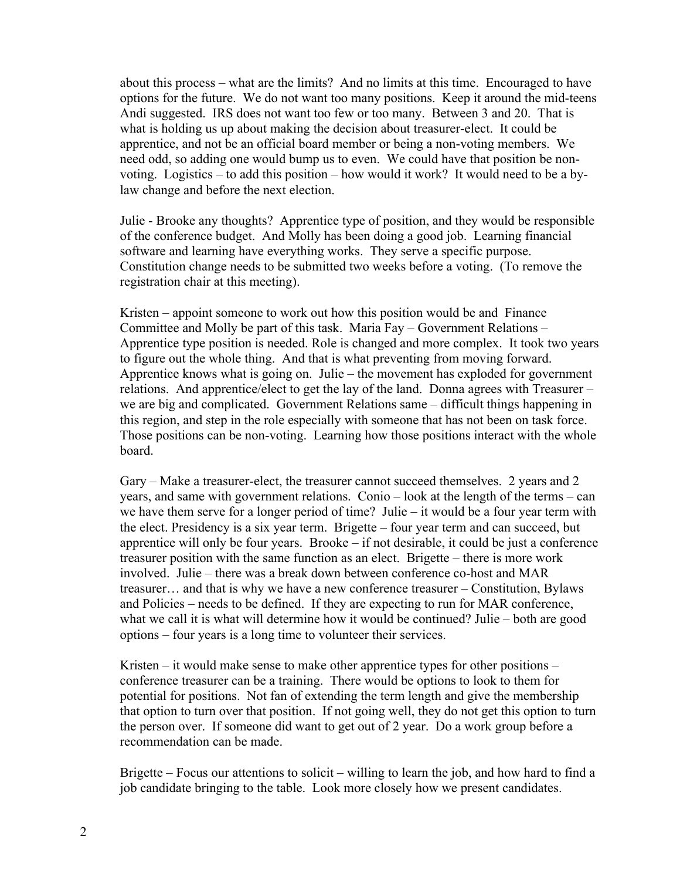about this process – what are the limits? And no limits at this time. Encouraged to have options for the future. We do not want too many positions. Keep it around the mid-teens Andi suggested. IRS does not want too few or too many. Between 3 and 20. That is what is holding us up about making the decision about treasurer-elect. It could be apprentice, and not be an official board member or being a non-voting members. We need odd, so adding one would bump us to even. We could have that position be nonvoting. Logistics – to add this position – how would it work? It would need to be a bylaw change and before the next election.

Julie - Brooke any thoughts? Apprentice type of position, and they would be responsible of the conference budget. And Molly has been doing a good job. Learning financial software and learning have everything works. They serve a specific purpose. Constitution change needs to be submitted two weeks before a voting. (To remove the registration chair at this meeting).

Kristen – appoint someone to work out how this position would be and Finance Committee and Molly be part of this task. Maria Fay – Government Relations – Apprentice type position is needed. Role is changed and more complex. It took two years to figure out the whole thing. And that is what preventing from moving forward. Apprentice knows what is going on. Julie – the movement has exploded for government relations. And apprentice/elect to get the lay of the land. Donna agrees with Treasurer – we are big and complicated. Government Relations same – difficult things happening in this region, and step in the role especially with someone that has not been on task force. Those positions can be non-voting. Learning how those positions interact with the whole board.

Gary – Make a treasurer-elect, the treasurer cannot succeed themselves. 2 years and 2 years, and same with government relations. Conio – look at the length of the terms – can we have them serve for a longer period of time? Julie – it would be a four year term with the elect. Presidency is a six year term. Brigette – four year term and can succeed, but apprentice will only be four years. Brooke – if not desirable, it could be just a conference treasurer position with the same function as an elect. Brigette – there is more work involved. Julie – there was a break down between conference co-host and MAR treasurer… and that is why we have a new conference treasurer – Constitution, Bylaws and Policies – needs to be defined. If they are expecting to run for MAR conference, what we call it is what will determine how it would be continued? Julie – both are good options – four years is a long time to volunteer their services.

Kristen – it would make sense to make other apprentice types for other positions – conference treasurer can be a training. There would be options to look to them for potential for positions. Not fan of extending the term length and give the membership that option to turn over that position. If not going well, they do not get this option to turn the person over. If someone did want to get out of 2 year. Do a work group before a recommendation can be made.

Brigette – Focus our attentions to solicit – willing to learn the job, and how hard to find a job candidate bringing to the table. Look more closely how we present candidates.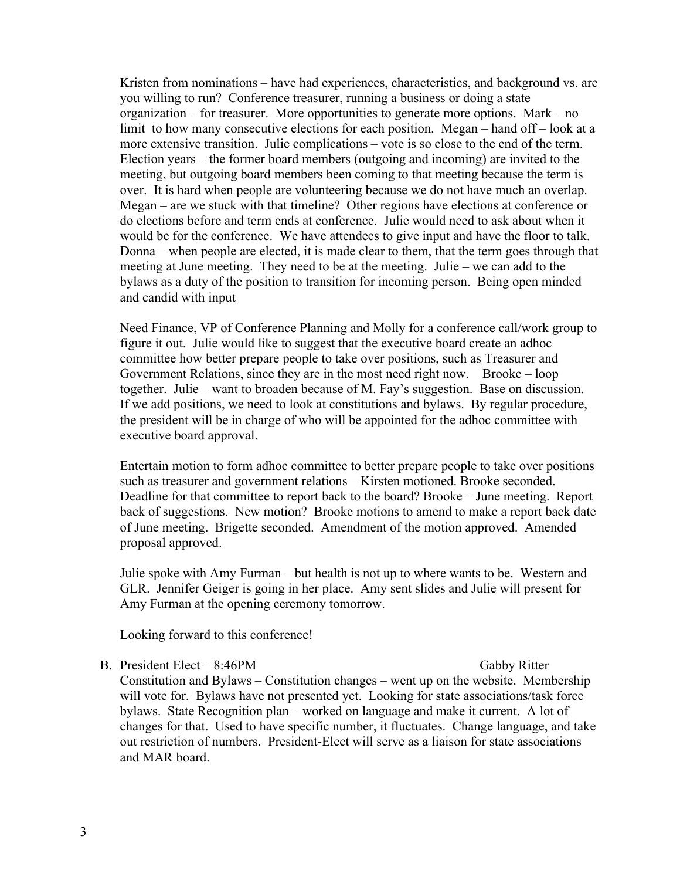Kristen from nominations – have had experiences, characteristics, and background vs. are you willing to run? Conference treasurer, running a business or doing a state organization – for treasurer. More opportunities to generate more options. Mark – no limit to how many consecutive elections for each position. Megan – hand off – look at a more extensive transition. Julie complications – vote is so close to the end of the term. Election years – the former board members (outgoing and incoming) are invited to the meeting, but outgoing board members been coming to that meeting because the term is over. It is hard when people are volunteering because we do not have much an overlap. Megan – are we stuck with that timeline? Other regions have elections at conference or do elections before and term ends at conference. Julie would need to ask about when it would be for the conference. We have attendees to give input and have the floor to talk. Donna – when people are elected, it is made clear to them, that the term goes through that meeting at June meeting. They need to be at the meeting. Julie – we can add to the bylaws as a duty of the position to transition for incoming person. Being open minded and candid with input

Need Finance, VP of Conference Planning and Molly for a conference call/work group to figure it out. Julie would like to suggest that the executive board create an adhoc committee how better prepare people to take over positions, such as Treasurer and Government Relations, since they are in the most need right now. Brooke – loop together. Julie – want to broaden because of M. Fay's suggestion. Base on discussion. If we add positions, we need to look at constitutions and bylaws. By regular procedure, the president will be in charge of who will be appointed for the adhoc committee with executive board approval.

Entertain motion to form adhoc committee to better prepare people to take over positions such as treasurer and government relations – Kirsten motioned. Brooke seconded. Deadline for that committee to report back to the board? Brooke – June meeting. Report back of suggestions. New motion? Brooke motions to amend to make a report back date of June meeting. Brigette seconded. Amendment of the motion approved. Amended proposal approved.

Julie spoke with Amy Furman – but health is not up to where wants to be. Western and GLR. Jennifer Geiger is going in her place. Amy sent slides and Julie will present for Amy Furman at the opening ceremony tomorrow.

Looking forward to this conference!

### B. President Elect – 8:46PM Gabby Ritter

Constitution and Bylaws – Constitution changes – went up on the website. Membership will vote for. Bylaws have not presented yet. Looking for state associations/task force bylaws. State Recognition plan – worked on language and make it current. A lot of changes for that. Used to have specific number, it fluctuates. Change language, and take out restriction of numbers. President-Elect will serve as a liaison for state associations and MAR board.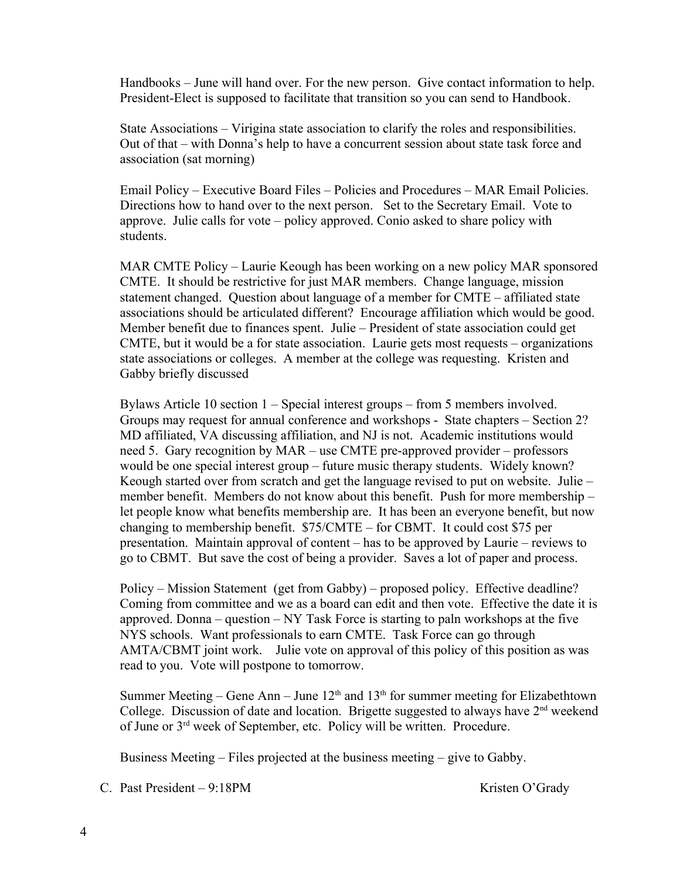Handbooks – June will hand over. For the new person. Give contact information to help. President-Elect is supposed to facilitate that transition so you can send to Handbook.

State Associations – Virigina state association to clarify the roles and responsibilities. Out of that – with Donna's help to have a concurrent session about state task force and association (sat morning)

Email Policy – Executive Board Files – Policies and Procedures – MAR Email Policies. Directions how to hand over to the next person. Set to the Secretary Email. Vote to approve. Julie calls for vote – policy approved. Conio asked to share policy with students.

MAR CMTE Policy – Laurie Keough has been working on a new policy MAR sponsored CMTE. It should be restrictive for just MAR members. Change language, mission statement changed. Question about language of a member for CMTE – affiliated state associations should be articulated different? Encourage affiliation which would be good. Member benefit due to finances spent. Julie – President of state association could get CMTE, but it would be a for state association. Laurie gets most requests – organizations state associations or colleges. A member at the college was requesting. Kristen and Gabby briefly discussed

Bylaws Article 10 section 1 – Special interest groups – from 5 members involved. Groups may request for annual conference and workshops - State chapters – Section 2? MD affiliated, VA discussing affiliation, and NJ is not. Academic institutions would need 5. Gary recognition by MAR – use CMTE pre-approved provider – professors would be one special interest group – future music therapy students. Widely known? Keough started over from scratch and get the language revised to put on website. Julie – member benefit. Members do not know about this benefit. Push for more membership – let people know what benefits membership are. It has been an everyone benefit, but now changing to membership benefit. \$75/CMTE – for CBMT. It could cost \$75 per presentation. Maintain approval of content – has to be approved by Laurie – reviews to go to CBMT. But save the cost of being a provider. Saves a lot of paper and process.

Policy – Mission Statement (get from Gabby) – proposed policy. Effective deadline? Coming from committee and we as a board can edit and then vote. Effective the date it is approved. Donna – question –  $NY$  Task Force is starting to paln workshops at the five NYS schools. Want professionals to earn CMTE. Task Force can go through AMTA/CBMT joint work. Julie vote on approval of this policy of this position as was read to you. Vote will postpone to tomorrow.

Summer Meeting – Gene Ann – June  $12<sup>th</sup>$  and  $13<sup>th</sup>$  for summer meeting for Elizabethtown College. Discussion of date and location. Brigette suggested to always have  $2<sup>nd</sup>$  weekend of June or 3rd week of September, etc. Policy will be written. Procedure.

Business Meeting – Files projected at the business meeting – give to Gabby.

C. Past President – 9:18PM Kristen O'Grady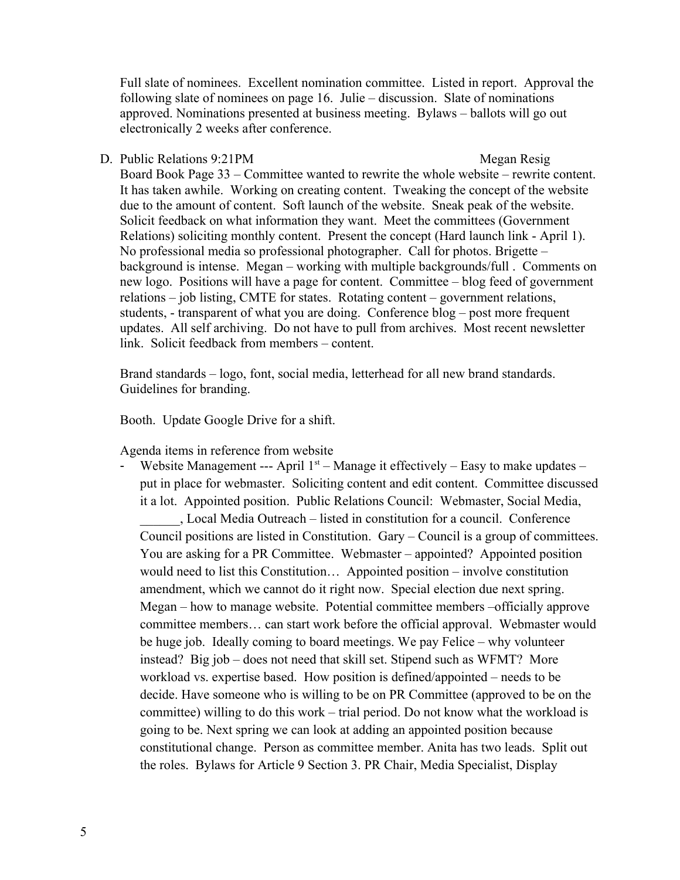Full slate of nominees. Excellent nomination committee. Listed in report. Approval the following slate of nominees on page 16. Julie – discussion. Slate of nominations approved. Nominations presented at business meeting. Bylaws – ballots will go out electronically 2 weeks after conference.

D. Public Relations 9:21PM Megan Resig Board Book Page 33 – Committee wanted to rewrite the whole website – rewrite content. It has taken awhile. Working on creating content. Tweaking the concept of the website due to the amount of content. Soft launch of the website. Sneak peak of the website. Solicit feedback on what information they want. Meet the committees (Government Relations) soliciting monthly content. Present the concept (Hard launch link - April 1). No professional media so professional photographer. Call for photos. Brigette – background is intense. Megan – working with multiple backgrounds/full . Comments on new logo. Positions will have a page for content. Committee – blog feed of government relations – job listing, CMTE for states. Rotating content – government relations, students, - transparent of what you are doing. Conference blog – post more frequent updates. All self archiving. Do not have to pull from archives. Most recent newsletter link. Solicit feedback from members – content.

Brand standards – logo, font, social media, letterhead for all new brand standards. Guidelines for branding.

Booth. Update Google Drive for a shift.

Agenda items in reference from website

Website Management --- April  $1<sup>st</sup>$  – Manage it effectively – Easy to make updates – put in place for webmaster. Soliciting content and edit content. Committee discussed it a lot. Appointed position. Public Relations Council: Webmaster, Social Media,

\_\_\_\_\_\_, Local Media Outreach – listed in constitution for a council. Conference Council positions are listed in Constitution. Gary – Council is a group of committees. You are asking for a PR Committee. Webmaster – appointed? Appointed position would need to list this Constitution… Appointed position – involve constitution amendment, which we cannot do it right now. Special election due next spring. Megan – how to manage website. Potential committee members –officially approve committee members… can start work before the official approval. Webmaster would be huge job. Ideally coming to board meetings. We pay Felice – why volunteer instead? Big job – does not need that skill set. Stipend such as WFMT? More workload vs. expertise based. How position is defined/appointed – needs to be decide. Have someone who is willing to be on PR Committee (approved to be on the committee) willing to do this work – trial period. Do not know what the workload is going to be. Next spring we can look at adding an appointed position because constitutional change. Person as committee member. Anita has two leads. Split out the roles. Bylaws for Article 9 Section 3. PR Chair, Media Specialist, Display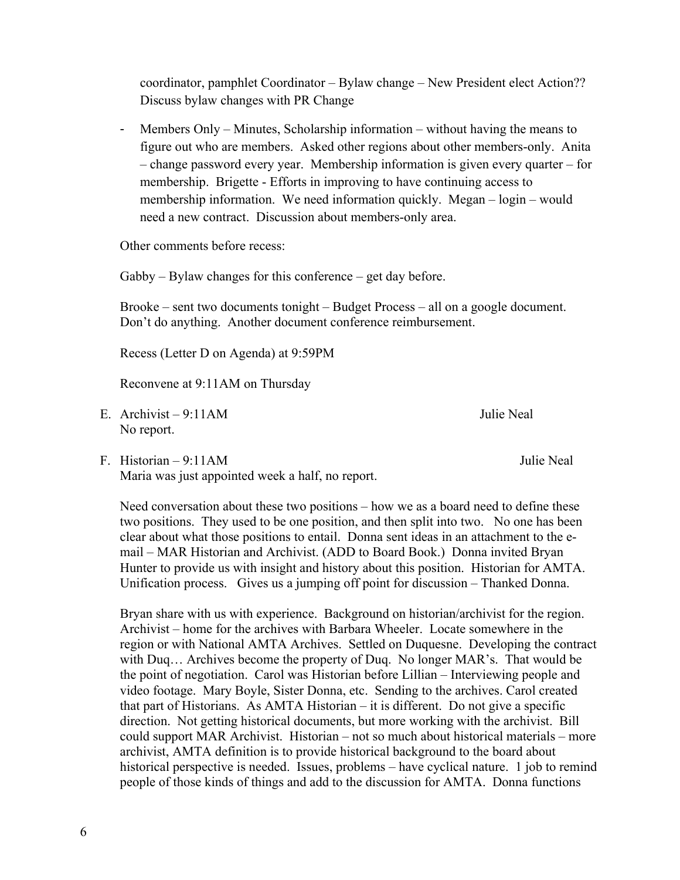coordinator, pamphlet Coordinator – Bylaw change – New President elect Action?? Discuss bylaw changes with PR Change

- Members Only – Minutes, Scholarship information – without having the means to figure out who are members. Asked other regions about other members-only. Anita – change password every year. Membership information is given every quarter – for membership. Brigette - Efforts in improving to have continuing access to membership information. We need information quickly. Megan – login – would need a new contract. Discussion about members-only area.

Other comments before recess:

Gabby – Bylaw changes for this conference – get day before.

Brooke – sent two documents tonight – Budget Process – all on a google document. Don't do anything. Another document conference reimbursement.

Recess (Letter D on Agenda) at 9:59PM

Reconvene at 9:11AM on Thursday

- E. Archivist 9:11AM Julie Neal No report.
- F. Historian 9:11AM Julie Neal Maria was just appointed week a half, no report.

Need conversation about these two positions – how we as a board need to define these two positions. They used to be one position, and then split into two. No one has been clear about what those positions to entail. Donna sent ideas in an attachment to the email – MAR Historian and Archivist. (ADD to Board Book.) Donna invited Bryan Hunter to provide us with insight and history about this position. Historian for AMTA. Unification process. Gives us a jumping off point for discussion – Thanked Donna.

Bryan share with us with experience. Background on historian/archivist for the region. Archivist – home for the archives with Barbara Wheeler. Locate somewhere in the region or with National AMTA Archives. Settled on Duquesne. Developing the contract with Duq... Archives become the property of Duq. No longer MAR's. That would be the point of negotiation. Carol was Historian before Lillian – Interviewing people and video footage. Mary Boyle, Sister Donna, etc. Sending to the archives. Carol created that part of Historians. As AMTA Historian – it is different. Do not give a specific direction. Not getting historical documents, but more working with the archivist. Bill could support MAR Archivist. Historian – not so much about historical materials – more archivist, AMTA definition is to provide historical background to the board about historical perspective is needed. Issues, problems – have cyclical nature. 1 job to remind people of those kinds of things and add to the discussion for AMTA. Donna functions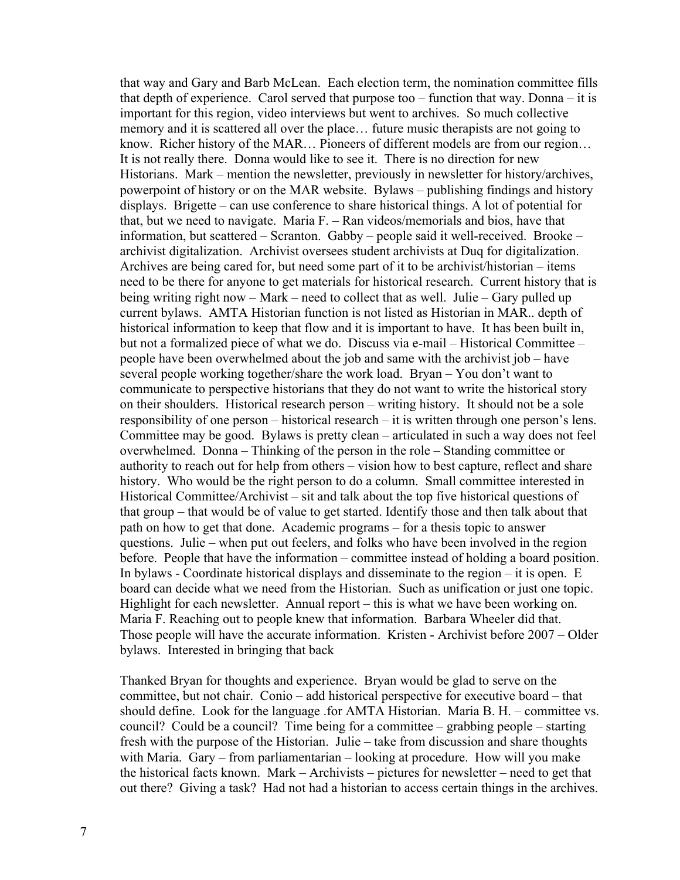that way and Gary and Barb McLean. Each election term, the nomination committee fills that depth of experience. Carol served that purpose too – function that way. Donna – it is important for this region, video interviews but went to archives. So much collective memory and it is scattered all over the place… future music therapists are not going to know. Richer history of the MAR… Pioneers of different models are from our region… It is not really there. Donna would like to see it. There is no direction for new Historians. Mark – mention the newsletter, previously in newsletter for history/archives, powerpoint of history or on the MAR website. Bylaws – publishing findings and history displays. Brigette – can use conference to share historical things. A lot of potential for that, but we need to navigate. Maria F. – Ran videos/memorials and bios, have that information, but scattered – Scranton. Gabby – people said it well-received. Brooke – archivist digitalization. Archivist oversees student archivists at Duq for digitalization. Archives are being cared for, but need some part of it to be archivist/historian – items need to be there for anyone to get materials for historical research. Current history that is being writing right now – Mark – need to collect that as well. Julie – Gary pulled up current bylaws. AMTA Historian function is not listed as Historian in MAR.. depth of historical information to keep that flow and it is important to have. It has been built in, but not a formalized piece of what we do. Discuss via e-mail – Historical Committee – people have been overwhelmed about the job and same with the archivist job – have several people working together/share the work load. Bryan – You don't want to communicate to perspective historians that they do not want to write the historical story on their shoulders. Historical research person – writing history. It should not be a sole responsibility of one person – historical research – it is written through one person's lens. Committee may be good. Bylaws is pretty clean – articulated in such a way does not feel overwhelmed. Donna – Thinking of the person in the role – Standing committee or authority to reach out for help from others – vision how to best capture, reflect and share history. Who would be the right person to do a column. Small committee interested in Historical Committee/Archivist – sit and talk about the top five historical questions of that group – that would be of value to get started. Identify those and then talk about that path on how to get that done. Academic programs – for a thesis topic to answer questions. Julie – when put out feelers, and folks who have been involved in the region before. People that have the information – committee instead of holding a board position. In bylaws - Coordinate historical displays and disseminate to the region – it is open. E board can decide what we need from the Historian. Such as unification or just one topic. Highlight for each newsletter. Annual report – this is what we have been working on. Maria F. Reaching out to people knew that information. Barbara Wheeler did that. Those people will have the accurate information. Kristen - Archivist before 2007 – Older bylaws. Interested in bringing that back

Thanked Bryan for thoughts and experience. Bryan would be glad to serve on the committee, but not chair. Conio – add historical perspective for executive board – that should define. Look for the language .for AMTA Historian. Maria B. H. – committee vs. council? Could be a council? Time being for a committee – grabbing people – starting fresh with the purpose of the Historian. Julie – take from discussion and share thoughts with Maria. Gary – from parliamentarian – looking at procedure. How will you make the historical facts known. Mark – Archivists – pictures for newsletter – need to get that out there? Giving a task? Had not had a historian to access certain things in the archives.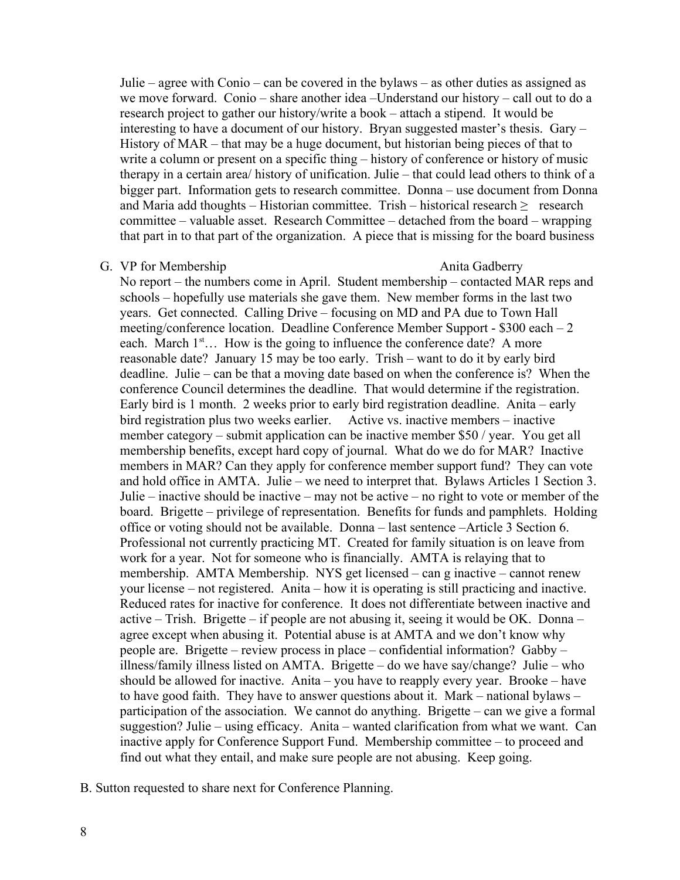Julie – agree with Conio – can be covered in the bylaws – as other duties as assigned as we move forward. Conio – share another idea –Understand our history – call out to do a research project to gather our history/write a book – attach a stipend. It would be interesting to have a document of our history. Bryan suggested master's thesis. Gary – History of MAR – that may be a huge document, but historian being pieces of that to write a column or present on a specific thing – history of conference or history of music therapy in a certain area/ history of unification. Julie – that could lead others to think of a bigger part. Information gets to research committee. Donna – use document from Donna and Maria add thoughts – Historian committee. Trish – historical research  $\geq$  research committee – valuable asset. Research Committee – detached from the board – wrapping that part in to that part of the organization. A piece that is missing for the board business

### G. VP for Membership Anita Gadberry

No report – the numbers come in April. Student membership – contacted MAR reps and schools – hopefully use materials she gave them. New member forms in the last two years. Get connected. Calling Drive – focusing on MD and PA due to Town Hall meeting/conference location. Deadline Conference Member Support - \$300 each – 2 each. March  $1<sup>st</sup>$ ... How is the going to influence the conference date? A more reasonable date? January 15 may be too early. Trish – want to do it by early bird deadline. Julie – can be that a moving date based on when the conference is? When the conference Council determines the deadline. That would determine if the registration. Early bird is 1 month. 2 weeks prior to early bird registration deadline. Anita – early bird registration plus two weeks earlier. Active vs. inactive members – inactive member category – submit application can be inactive member \$50 / year. You get all membership benefits, except hard copy of journal. What do we do for MAR? Inactive members in MAR? Can they apply for conference member support fund? They can vote and hold office in AMTA. Julie – we need to interpret that. Bylaws Articles 1 Section 3. Julie – inactive should be inactive – may not be active – no right to vote or member of the board. Brigette – privilege of representation. Benefits for funds and pamphlets. Holding office or voting should not be available. Donna – last sentence –Article 3 Section 6. Professional not currently practicing MT. Created for family situation is on leave from work for a year. Not for someone who is financially. AMTA is relaying that to membership. AMTA Membership. NYS get licensed – can g inactive – cannot renew your license – not registered. Anita – how it is operating is still practicing and inactive. Reduced rates for inactive for conference. It does not differentiate between inactive and active – Trish. Brigette – if people are not abusing it, seeing it would be OK. Donna – agree except when abusing it. Potential abuse is at AMTA and we don't know why people are. Brigette – review process in place – confidential information? Gabby – illness/family illness listed on AMTA. Brigette – do we have say/change? Julie – who should be allowed for inactive. Anita – you have to reapply every year. Brooke – have to have good faith. They have to answer questions about it. Mark – national bylaws – participation of the association. We cannot do anything. Brigette – can we give a formal suggestion? Julie – using efficacy. Anita – wanted clarification from what we want. Can inactive apply for Conference Support Fund. Membership committee – to proceed and find out what they entail, and make sure people are not abusing. Keep going.

B. Sutton requested to share next for Conference Planning.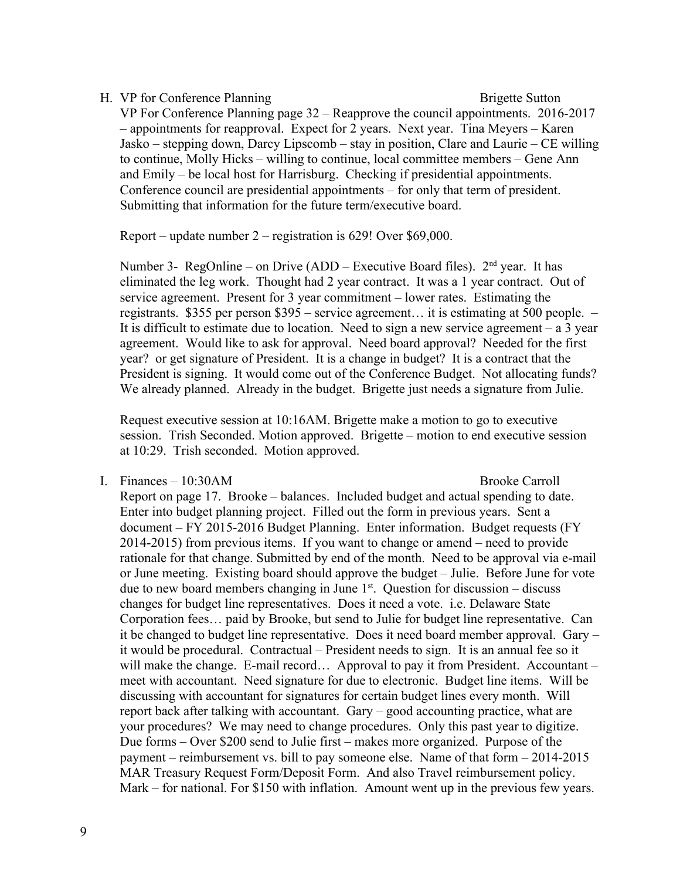H. VP for Conference Planning Brigette Sutton VP For Conference Planning page 32 – Reapprove the council appointments. 2016-2017 – appointments for reapproval. Expect for 2 years. Next year. Tina Meyers – Karen Jasko – stepping down, Darcy Lipscomb – stay in position, Clare and Laurie – CE willing to continue, Molly Hicks – willing to continue, local committee members – Gene Ann and Emily – be local host for Harrisburg. Checking if presidential appointments. Conference council are presidential appointments – for only that term of president. Submitting that information for the future term/executive board.

Report – update number 2 – registration is 629! Over \$69,000.

Number 3- RegOnline – on Drive (ADD – Executive Board files).  $2<sup>nd</sup>$  year. It has eliminated the leg work. Thought had 2 year contract. It was a 1 year contract. Out of service agreement. Present for 3 year commitment – lower rates. Estimating the registrants. \$355 per person \$395 – service agreement… it is estimating at 500 people. – It is difficult to estimate due to location. Need to sign a new service agreement – a 3 year agreement. Would like to ask for approval. Need board approval? Needed for the first year? or get signature of President. It is a change in budget? It is a contract that the President is signing. It would come out of the Conference Budget. Not allocating funds? We already planned. Already in the budget. Brigette just needs a signature from Julie.

Request executive session at 10:16AM. Brigette make a motion to go to executive session. Trish Seconded. Motion approved. Brigette – motion to end executive session at 10:29. Trish seconded. Motion approved.

I. Finances – 10:30AM Brooke Carroll

Report on page 17. Brooke – balances. Included budget and actual spending to date. Enter into budget planning project. Filled out the form in previous years. Sent a document – FY 2015-2016 Budget Planning. Enter information. Budget requests (FY 2014-2015) from previous items. If you want to change or amend – need to provide rationale for that change. Submitted by end of the month. Need to be approval via e-mail or June meeting. Existing board should approve the budget – Julie. Before June for vote due to new board members changing in June  $1<sup>st</sup>$ . Ouestion for discussion – discuss changes for budget line representatives. Does it need a vote. i.e. Delaware State Corporation fees… paid by Brooke, but send to Julie for budget line representative. Can it be changed to budget line representative. Does it need board member approval. Gary – it would be procedural. Contractual – President needs to sign. It is an annual fee so it will make the change. E-mail record... Approval to pay it from President. Accountant – meet with accountant. Need signature for due to electronic. Budget line items. Will be discussing with accountant for signatures for certain budget lines every month. Will report back after talking with accountant. Gary – good accounting practice, what are your procedures? We may need to change procedures. Only this past year to digitize. Due forms – Over \$200 send to Julie first – makes more organized. Purpose of the payment – reimbursement vs. bill to pay someone else. Name of that form – 2014-2015 MAR Treasury Request Form/Deposit Form. And also Travel reimbursement policy. Mark – for national. For \$150 with inflation. Amount went up in the previous few years.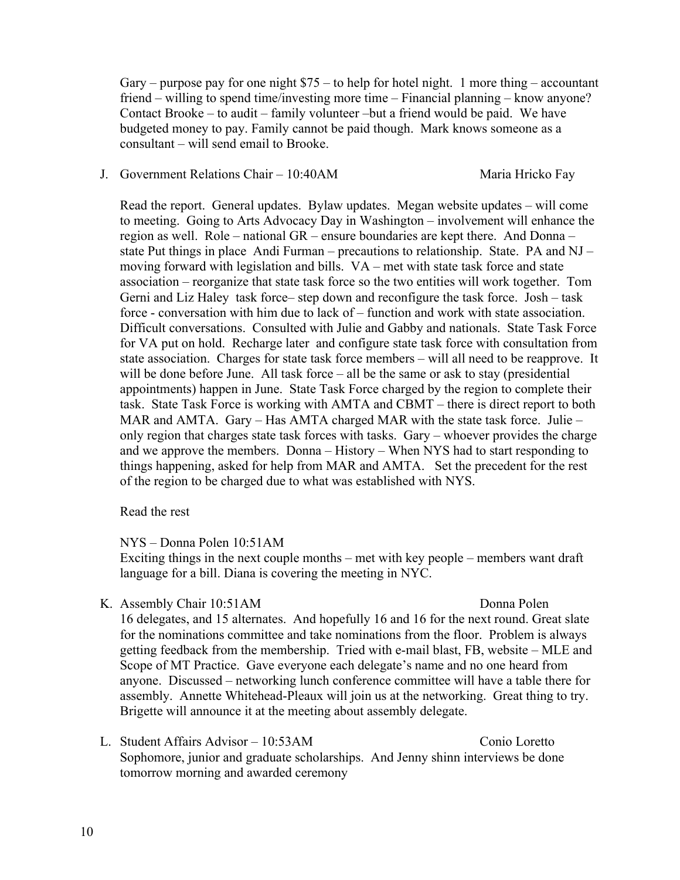Gary – purpose pay for one night  $$75$  – to help for hotel night. 1 more thing – accountant friend – willing to spend time/investing more time – Financial planning – know anyone? Contact Brooke – to audit – family volunteer –but a friend would be paid. We have budgeted money to pay. Family cannot be paid though. Mark knows someone as a consultant – will send email to Brooke.

### J. Government Relations Chair – 10:40AM Maria Hricko Fay

Read the report. General updates. Bylaw updates. Megan website updates – will come to meeting. Going to Arts Advocacy Day in Washington – involvement will enhance the region as well. Role – national GR – ensure boundaries are kept there. And Donna – state Put things in place Andi Furman – precautions to relationship. State. PA and NJ – moving forward with legislation and bills. VA – met with state task force and state association – reorganize that state task force so the two entities will work together. Tom Gerni and Liz Haley task force– step down and reconfigure the task force. Josh – task force - conversation with him due to lack of – function and work with state association. Difficult conversations. Consulted with Julie and Gabby and nationals. State Task Force for VA put on hold. Recharge later and configure state task force with consultation from state association. Charges for state task force members – will all need to be reapprove. It will be done before June. All task force – all be the same or ask to stay (presidential appointments) happen in June. State Task Force charged by the region to complete their task. State Task Force is working with AMTA and CBMT – there is direct report to both MAR and AMTA. Gary – Has AMTA charged MAR with the state task force. Julie – only region that charges state task forces with tasks. Gary – whoever provides the charge and we approve the members. Donna – History – When NYS had to start responding to things happening, asked for help from MAR and AMTA. Set the precedent for the rest of the region to be charged due to what was established with NYS.

### Read the rest

## NYS – Donna Polen 10:51AM

Exciting things in the next couple months – met with key people – members want draft language for a bill. Diana is covering the meeting in NYC.

K. Assembly Chair 10:51AM Donna Polen

16 delegates, and 15 alternates. And hopefully 16 and 16 for the next round. Great slate for the nominations committee and take nominations from the floor. Problem is always getting feedback from the membership. Tried with e-mail blast, FB, website – MLE and Scope of MT Practice. Gave everyone each delegate's name and no one heard from anyone. Discussed – networking lunch conference committee will have a table there for assembly. Annette Whitehead-Pleaux will join us at the networking. Great thing to try. Brigette will announce it at the meeting about assembly delegate.

L. Student Affairs Advisor – 10:53AM Conio Loretto Sophomore, junior and graduate scholarships. And Jenny shinn interviews be done tomorrow morning and awarded ceremony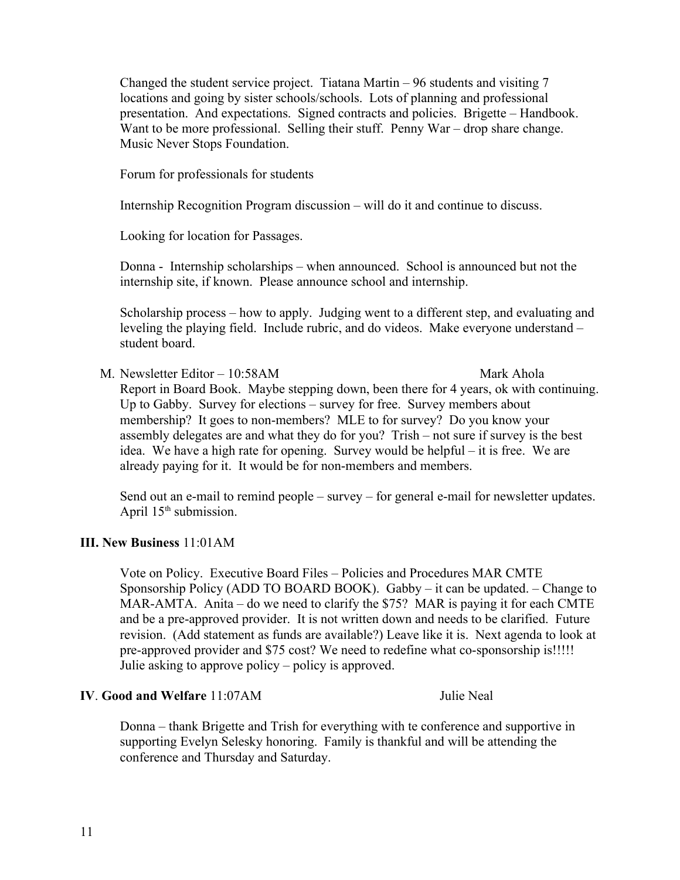Changed the student service project. Tiatana Martin – 96 students and visiting 7 locations and going by sister schools/schools. Lots of planning and professional presentation. And expectations. Signed contracts and policies. Brigette – Handbook. Want to be more professional. Selling their stuff. Penny War – drop share change. Music Never Stops Foundation.

Forum for professionals for students

Internship Recognition Program discussion – will do it and continue to discuss.

Looking for location for Passages.

Donna - Internship scholarships – when announced. School is announced but not the internship site, if known. Please announce school and internship.

Scholarship process – how to apply. Judging went to a different step, and evaluating and leveling the playing field. Include rubric, and do videos. Make everyone understand – student board.

M. Newsletter Editor – 10:58AM Mark Ahola Report in Board Book. Maybe stepping down, been there for 4 years, ok with continuing. Up to Gabby. Survey for elections – survey for free. Survey members about membership? It goes to non-members? MLE to for survey? Do you know your assembly delegates are and what they do for you? Trish – not sure if survey is the best idea. We have a high rate for opening. Survey would be helpful – it is free. We are already paying for it. It would be for non-members and members.

Send out an e-mail to remind people – survey – for general e-mail for newsletter updates. April  $15<sup>th</sup>$  submission.

## **III. New Business** 11:01AM

Vote on Policy. Executive Board Files – Policies and Procedures MAR CMTE Sponsorship Policy (ADD TO BOARD BOOK). Gabby – it can be updated. – Change to MAR-AMTA. Anita – do we need to clarify the \$75? MAR is paying it for each CMTE and be a pre-approved provider. It is not written down and needs to be clarified. Future revision. (Add statement as funds are available?) Leave like it is. Next agenda to look at pre-approved provider and \$75 cost? We need to redefine what co-sponsorship is!!!!! Julie asking to approve policy – policy is approved.

## **IV**. **Good and Welfare** 11:07AM Julie Neal

Donna – thank Brigette and Trish for everything with te conference and supportive in supporting Evelyn Selesky honoring. Family is thankful and will be attending the conference and Thursday and Saturday.